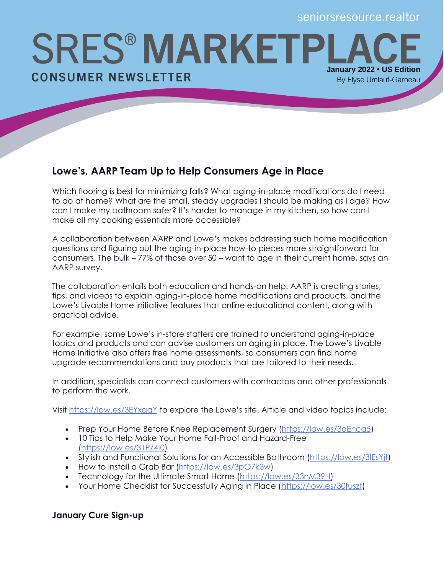**SRES® MARKETPI January 2022 • US Edition CONSUMER NEWSLETTER** By Elyse Umlauf-Garneau

## **Lowe's, AARP Team Up to Help Consumers Age in Place**

Which flooring is best for minimizing falls? What aging-in-place modifications do I need to do at home? What are the small, steady upgrades I should be making as I age? How can I make my bathroom safer? It's harder to manage in my kitchen, so how can I make all my cooking essentials more accessible?

A collaboration between AARP and Lowe's makes addressing such home modification questions and figuring out the aging-in-place how-to pieces more straightforward for consumers. The bulk – 77% of those over 50 – want to age in their current home, says an AARP survey.

The collaboration entails both education and hands-on help. AARP is creating stories, tips, and videos to explain aging-in-place home modifications and products, and the Lowe's Livable Home initiative features that online educational content, along with practical advice.

For example, some Lowe's in-store staffers are trained to understand aging-in-place topics and products and can advise customers on aging in place. The Lowe's Livable Home Initiative also offers free home assessments, so consumers can find home upgrade recommendations and buy products that are tailored to their needs.

In addition, specialists can connect customers with contractors and other professionals to perform the work.

Visit <https://low.es/3EYxqqY> to explore the Lowe's site. Article and video topics include:

- Prep Your Home Before Knee Replacement Surgery [\(https://low.es/3oEncq5\)](https://low.es/3oEncq5)
- 10 Tips to Help Make Your Home Fall-Proof and Hazard-Free [\(https://low.es/31PZ4I0\)](https://low.es/31PZ4I0)
- Stylish and Functional Solutions for an Accessible Bathroom [\(https://low.es/3IEsYjt\)](https://low.es/3IEsYjt)
- How to Install a Grab Bar [\(https://low.es/3pO7k3w\)](https://low.es/3pO7k3w)
- Technology for the Ultimate Smart Home [\(https://low.es/33nM39H\)](https://low.es/33nM39H)
- Your Home Checklist for Successfully Aging in Place [\(https://low.es/30fuszt\)](https://low.es/30fuszt)

## **January Cure Sign-up**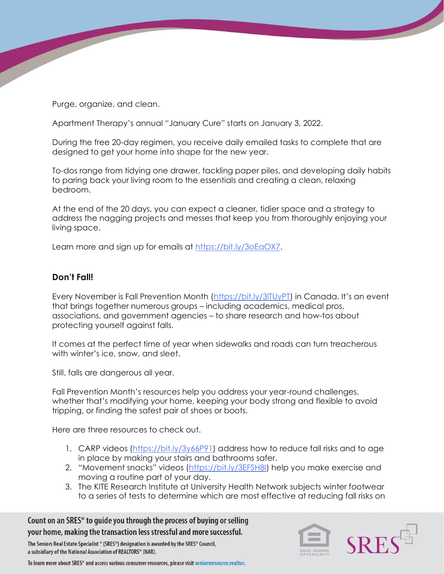Purge, organize, and clean.

Apartment Therapy's annual "January Cure" starts on January 3, 2022.

During the free 20-day regimen, you receive daily emailed tasks to complete that are designed to get your home into shape for the new year.

To-dos range from tidying one drawer, tackling paper piles, and developing daily habits to paring back your living room to the essentials and creating a clean, relaxing bedroom.

At the end of the 20 days, you can expect a cleaner, tidier space and a strategy to address the nagging projects and messes that keep you from thoroughly enjoying your living space.

Learn more and sign up for emails at [https://bit.ly/3oEaOX7.](https://bit.ly/3oEaOX7)

## **Don't Fall!**

Every November is Fall Prevention Month [\(https://bit.ly/3lTUyPT](https://bit.ly/3lTUyPT)) in Canada. It's an event that brings together numerous groups – including academics, medical pros, associations, and government agencies – to share research and how-tos about protecting yourself against falls.

It comes at the perfect time of year when sidewalks and roads can turn treacherous with winter's ice, snow, and sleet.

Still, falls are dangerous all year.

Fall Prevention Month's resources help you address your year-round challenges, whether that's modifying your home, keeping your body strong and flexible to avoid tripping, or finding the safest pair of shoes or boots.

Here are three resources to check out.

- 1. CARP videos [\(https://bit.ly/3y66P91\)](https://bit.ly/3y66P91) address how to reduce fall risks and to age in place by making your stairs and bathrooms safer.
- 2. "Movement snacks" videos ([https://bit.ly/3EFSH8I\)](https://bit.ly/3EFSH8I) help you make exercise and moving a routine part of your day.
- 3. The KITE Research Institute at University Health Network subjects winter footwear to a series of tests to determine which are most effective at reducing fall risks on

Count on an SRES<sup>®</sup> to guide you through the process of buying or selling your home, making the transaction less stressful and more successful.

The Seniors Real Estate Specialist ® (SRES®) designation is awarded by the SRES® Council. a subsidiary of the National Association of REALTORS® (NAR).

To learn more about SRES® and access various consumer resources, please visit seniorsresource.realtor.